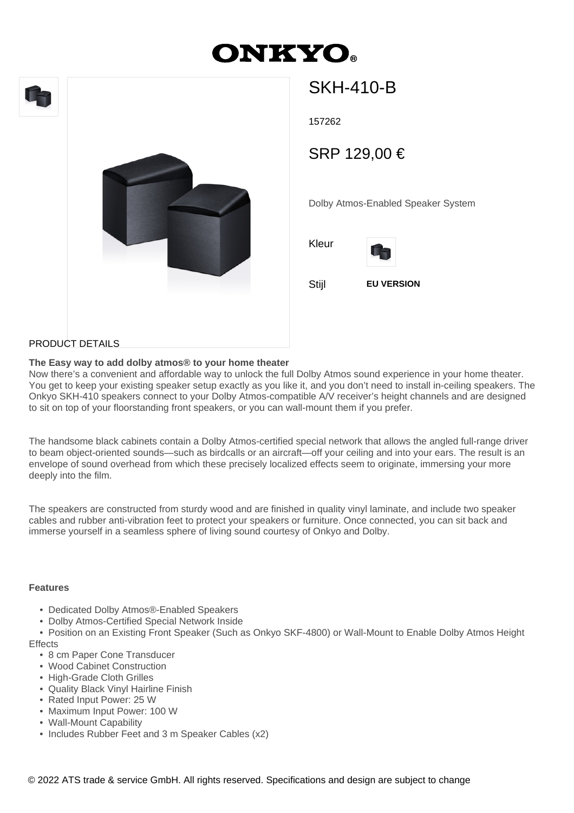# **DNKYO**





## SKH-410-B

157262

SRP 129,00 €

Dolby Atmos-Enabled Speaker System





Stijl **EU VERSION**

#### PRODUCT DETAILS

#### **The Easy way to add dolby atmos® to your home theater**

Now there's a convenient and affordable way to unlock the full Dolby Atmos sound experience in your home theater. You get to keep your existing speaker setup exactly as you like it, and you don't need to install in-ceiling speakers. The Onkyo SKH-410 speakers connect to your Dolby Atmos-compatible A/V receiver's height channels and are designed to sit on top of your floorstanding front speakers, or you can wall-mount them if you prefer.

The handsome black cabinets contain a Dolby Atmos-certified special network that allows the angled full-range driver to beam object-oriented sounds—such as birdcalls or an aircraft—off your ceiling and into your ears. The result is an envelope of sound overhead from which these precisely localized effects seem to originate, immersing your more deeply into the film.

The speakers are constructed from sturdy wood and are finished in quality vinyl laminate, and include two speaker cables and rubber anti-vibration feet to protect your speakers or furniture. Once connected, you can sit back and immerse yourself in a seamless sphere of living sound courtesy of Onkyo and Dolby.

#### **Features**

- Dedicated Dolby Atmos®-Enabled Speakers
- Dolby Atmos-Certified Special Network Inside

 • Position on an Existing Front Speaker (Such as Onkyo SKF-4800) or Wall-Mount to Enable Dolby Atmos Height **Effects** 

- 8 cm Paper Cone Transducer
- Wood Cabinet Construction
- High-Grade Cloth Grilles
- Quality Black Vinyl Hairline Finish
- Rated Input Power: 25 W
- Maximum Input Power: 100 W
- Wall-Mount Capability
- Includes Rubber Feet and 3 m Speaker Cables (x2)